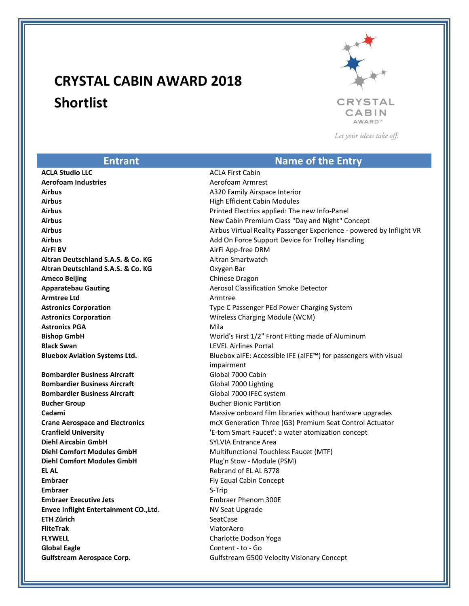## **CRYSTAL CABIN AWARD 2018 Shortlist**



Let your ideas take off.

## **Entrant Name of the Entry ACLA Studio LLC** ACLA First Cabin **Aerofoam Industries** Aerofoam Armrest **Airbus** A320 Family Airspace Interior **Airbus Airbus Airbus Airbus Airbus Airbus Airbus Airbus Airbus Airbus Airbus Airbus Airbus Airbus Airbus Airbus Airbus Airbus Airbus Airbus Airbus Airbus Airbus Airbus Airbu Airbus** Printed Electrics applied: The new Info-Panel **Airbus** New Cabin Premium Class "Day and Night" Concept **Airbus** Airbus Virtual Reality Passenger Experience - powered by Inflight VR **Airbus Add On Force Support Device for Trolley Handling Add On Force Support Device for Trolley Handling AirFi BV** AirFi App-free DRM **Altran Deutschland S.A.S. & Co. KG** Altran Smartwatch **Altran Deutschland S.A.S. & Co. KG** Oxygen Bar **Ameco Beijing** Chinese Dragon **Apparatebau Gauting Manual Community Community Community Aerosol Classification Smoke Detector Armtree Ltd Armtree Ltd Astronics Corporation Type C Passenger PEd Power Charging System Astronics Corporation** Wireless Charging Module (WCM) **Astronics PGA** Mila **Bishop GmbH** World's First 1/2" Front Fitting made of Aluminum **Black Swan** LEVEL Airlines Portal **Bluebox Aviation Systems Ltd.** Bluebox aIFE: Accessible IFE (aIFE™) for passengers with visual and visual impairment **Bombardier Business Aircraft** Global 7000 Cabin **Bombardier Business Aircraft** Global 7000 Lighting **Bombardier Business Aircraft** Global 7000 IFEC system **Bucher Group Bucher Group Bucher Bionic Partition Cadami** Massive onboard film libraries without hardware upgrades **Crane Aerospace and Electronics** mcX Generation Three (G3) Premium Seat Control Actuator **Cranfield University** 'E-tom Smart Faucet': a water atomization concept **Diehl Aircabin GmbH** SYLVIA Entrance Area **Diehl Comfort Modules GmbH** Multifunctional Touchless Faucet (MTF) **Diehl Comfort Modules GmbH** Plug'n Stow - Module (PSM) **EL AL** Rebrand of EL AL B778 **Embraer** Fly Equal Cabin Concept **Embraer** S-Trip **Embraer Executive Jets Embraer Phenom 300E Envee Inflight Entertainment CO., Ltd.** NV Seat Upgrade **ETH Zürich** SeatCase **FliteTrak** ViatorAero **FLYWELL** Charlotte Dodson Yoga **Global Eagle** Content - to - Go **Gulfstream Aerospace Corp. Gulfstream G500 Velocity Visionary Concept**